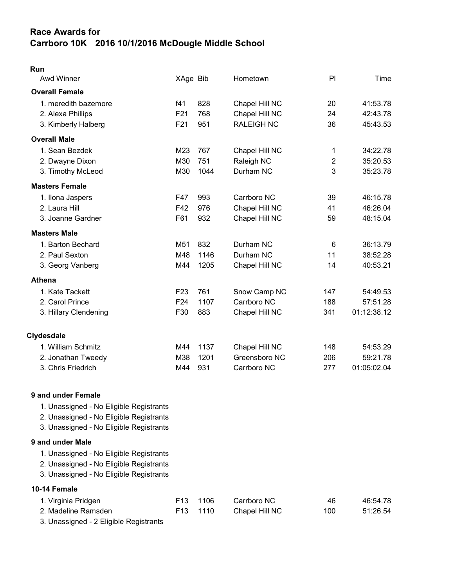# Race Awards for Carrboro 10K 2016 10/1/2016 McDougle Middle School

| × |  |
|---|--|

| <b>Awd Winner</b>     | XAge Bib        |      | Hometown          | PI  | Time        |
|-----------------------|-----------------|------|-------------------|-----|-------------|
| <b>Overall Female</b> |                 |      |                   |     |             |
| 1. meredith bazemore  | f41             | 828  | Chapel Hill NC    | 20  | 41:53.78    |
| 2. Alexa Phillips     | F <sub>21</sub> | 768  | Chapel Hill NC    | 24  | 42:43.78    |
| 3. Kimberly Halberg   | F <sub>21</sub> | 951  | <b>RALEIGH NC</b> | 36  | 45:43.53    |
| <b>Overall Male</b>   |                 |      |                   |     |             |
| 1. Sean Bezdek        | M23             | 767  | Chapel Hill NC    | 1   | 34:22.78    |
| 2. Dwayne Dixon       | M30             | 751  | Raleigh NC        | 2   | 35:20.53    |
| 3. Timothy McLeod     | M30             | 1044 | Durham NC         | 3   | 35:23.78    |
| <b>Masters Female</b> |                 |      |                   |     |             |
| 1. Ilona Jaspers      | F47             | 993  | Carrboro NC       | 39  | 46:15.78    |
| 2. Laura Hill         | F42             | 976  | Chapel Hill NC    | 41  | 46:26.04    |
| 3. Joanne Gardner     | F61             | 932  | Chapel Hill NC    | 59  | 48:15.04    |
| <b>Masters Male</b>   |                 |      |                   |     |             |
| 1. Barton Bechard     | M51             | 832  | Durham NC         | 6   | 36:13.79    |
| 2. Paul Sexton        | M48             | 1146 | Durham NC         | 11  | 38:52.28    |
| 3. Georg Vanberg      | M44             | 1205 | Chapel Hill NC    | 14  | 40:53.21    |
| <b>Athena</b>         |                 |      |                   |     |             |
| 1. Kate Tackett       | F <sub>23</sub> | 761  | Snow Camp NC      | 147 | 54:49.53    |
| 2. Carol Prince       | F <sub>24</sub> | 1107 | Carrboro NC       | 188 | 57:51.28    |
| 3. Hillary Clendening | F30             | 883  | Chapel Hill NC    | 341 | 01:12:38.12 |
| <b>Clydesdale</b>     |                 |      |                   |     |             |
| 1. William Schmitz    | M44             | 1137 | Chapel Hill NC    | 148 | 54:53.29    |
| 2. Jonathan Tweedy    | M38             | 1201 | Greensboro NC     | 206 | 59:21.78    |
| 3. Chris Friedrich    | M44             | 931  | Carrboro NC       | 277 | 01:05:02.04 |

#### 9 and under Female

- 1. Unassigned No Eligible Registrants
- 2. Unassigned No Eligible Registrants
- 3. Unassigned No Eligible Registrants

### 9 and under Male

- 1. Unassigned No Eligible Registrants
- 2. Unassigned No Eligible Registrants
- 3. Unassigned No Eligible Registrants

## 10-14 Female

| 1. Virginia Pridgen | F <sub>13</sub> 1106 | Carrboro NC    | 46  | 46:54.78 |
|---------------------|----------------------|----------------|-----|----------|
| 2. Madeline Ramsden | F13 1110             | Chapel Hill NC | 100 | 51:26.54 |
| - - -<br>_______    |                      |                |     |          |

3. Unassigned - 2 Eligible Registrants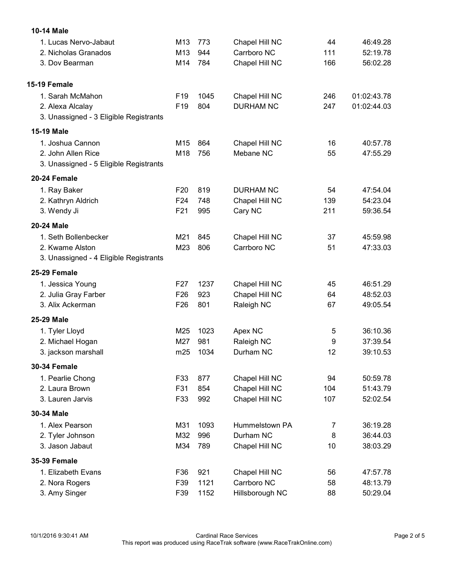| 10-14 Male                                                   |                 |              |                               |          |                      |
|--------------------------------------------------------------|-----------------|--------------|-------------------------------|----------|----------------------|
| 1. Lucas Nervo-Jabaut                                        | M <sub>13</sub> | 773          | Chapel Hill NC                | 44       | 46:49.28             |
| 2. Nicholas Granados                                         | M13             | 944          | Carrboro NC                   | 111      | 52:19.78             |
| 3. Dov Bearman                                               | M14             | 784          | Chapel Hill NC                | 166      | 56:02.28             |
| 15-19 Female                                                 |                 |              |                               |          |                      |
| 1. Sarah McMahon                                             | F <sub>19</sub> | 1045         | Chapel Hill NC                | 246      | 01:02:43.78          |
| 2. Alexa Alcalay<br>3. Unassigned - 3 Eligible Registrants   | F <sub>19</sub> | 804          | <b>DURHAM NC</b>              | 247      | 01:02:44.03          |
| <b>15-19 Male</b>                                            |                 |              |                               |          |                      |
| 1. Joshua Cannon                                             | M <sub>15</sub> | 864          | Chapel Hill NC                | 16       | 40:57.78             |
| 2. John Allen Rice<br>3. Unassigned - 5 Eligible Registrants | M18             | 756          | Mebane NC                     | 55       | 47:55.29             |
| 20-24 Female                                                 |                 |              |                               |          |                      |
| 1. Ray Baker                                                 | F <sub>20</sub> | 819          | <b>DURHAM NC</b>              | 54       | 47:54.04             |
| 2. Kathryn Aldrich                                           | F <sub>24</sub> | 748          | Chapel Hill NC                | 139      | 54:23.04             |
| 3. Wendy Ji                                                  | F <sub>21</sub> | 995          | Cary NC                       | 211      | 59:36.54             |
| 20-24 Male                                                   |                 |              |                               |          |                      |
| 1. Seth Bollenbecker                                         | M21             | 845          | Chapel Hill NC                | 37       | 45:59.98             |
| 2. Kwame Alston<br>3. Unassigned - 4 Eligible Registrants    | M23             | 806          | Carrboro NC                   | 51       | 47:33.03             |
| 25-29 Female                                                 |                 |              |                               |          |                      |
| 1. Jessica Young                                             | F <sub>27</sub> | 1237         | Chapel Hill NC                | 45       | 46:51.29             |
| 2. Julia Gray Farber                                         | F <sub>26</sub> | 923          | Chapel Hill NC                | 64       | 48:52.03             |
| 3. Alix Ackerman                                             | F <sub>26</sub> | 801          | Raleigh NC                    | 67       | 49:05.54             |
| 25-29 Male                                                   |                 |              |                               |          |                      |
| 1. Tyler Lloyd                                               | M25             | 1023         | Apex NC                       | 5        | 36:10.36             |
| 2. Michael Hogan                                             | M27             | 981          | Raleigh NC                    | 9        | 37:39.54             |
| 3. jackson marshall                                          | m25             | 1034         | Durham NC                     | 12       | 39:10.53             |
| <b>30-34 Female</b>                                          |                 |              |                               |          |                      |
| 1. Pearlie Chong                                             | F33             | 877          | Chapel Hill NC                | 94       | 50:59.78             |
| 2. Laura Brown                                               | F31             | 854          | Chapel Hill NC                | 104      | 51:43.79             |
| 3. Lauren Jarvis                                             | F33             | 992          | Chapel Hill NC                | 107      | 52:02.54             |
| 30-34 Male                                                   |                 |              |                               |          |                      |
| 1. Alex Pearson                                              | M31             | 1093         | Hummelstown PA                | 7        | 36:19.28             |
| 2. Tyler Johnson                                             | M32             | 996          | Durham NC                     | 8        | 36:44.03             |
| 3. Jason Jabaut                                              | M34             | 789          | Chapel Hill NC                | 10       | 38:03.29             |
| <b>35-39 Female</b>                                          |                 |              |                               |          |                      |
| 1. Elizabeth Evans                                           | F36             | 921          | Chapel Hill NC<br>Carrboro NC | 56       | 47:57.78             |
| 2. Nora Rogers<br>3. Amy Singer                              | F39<br>F39      | 1121<br>1152 | Hillsborough NC               | 58<br>88 | 48:13.79<br>50:29.04 |
|                                                              |                 |              |                               |          |                      |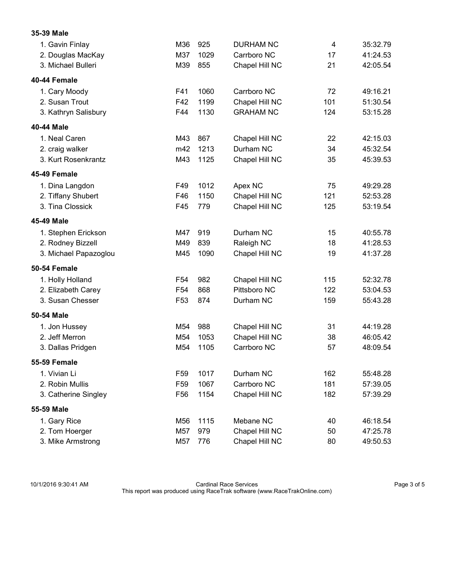| 1. Gavin Finlay       | M36             | 925  | <b>DURHAM NC</b> | 4   | 35:32.79 |
|-----------------------|-----------------|------|------------------|-----|----------|
| 2. Douglas MacKay     | M37             | 1029 | Carrboro NC      | 17  | 41:24.53 |
| 3. Michael Bulleri    | M39             | 855  | Chapel Hill NC   | 21  | 42:05.54 |
| 40-44 Female          |                 |      |                  |     |          |
| 1. Cary Moody         | F41             | 1060 | Carrboro NC      | 72  | 49:16.21 |
| 2. Susan Trout        | F42             | 1199 | Chapel Hill NC   | 101 | 51:30.54 |
| 3. Kathryn Salisbury  | F44             | 1130 | <b>GRAHAM NC</b> | 124 | 53:15.28 |
| 40-44 Male            |                 |      |                  |     |          |
| 1. Neal Caren         | M43             | 867  | Chapel Hill NC   | 22  | 42:15.03 |
| 2. craig walker       | m42             | 1213 | Durham NC        | 34  | 45:32.54 |
| 3. Kurt Rosenkrantz   | M43             | 1125 | Chapel Hill NC   | 35  | 45:39.53 |
| 45-49 Female          |                 |      |                  |     |          |
| 1. Dina Langdon       | F49             | 1012 | Apex NC          | 75  | 49:29.28 |
| 2. Tiffany Shubert    | F46             | 1150 | Chapel Hill NC   | 121 | 52:53.28 |
| 3. Tina Clossick      | F45             | 779  | Chapel Hill NC   | 125 | 53:19.54 |
| 45-49 Male            |                 |      |                  |     |          |
| 1. Stephen Erickson   | M47             | 919  | Durham NC        | 15  | 40:55.78 |
| 2. Rodney Bizzell     | M49             | 839  | Raleigh NC       | 18  | 41:28.53 |
| 3. Michael Papazoglou | M45             | 1090 | Chapel Hill NC   | 19  | 41:37.28 |
| 50-54 Female          |                 |      |                  |     |          |
| 1. Holly Holland      | F <sub>54</sub> | 982  | Chapel Hill NC   | 115 | 52:32.78 |
| 2. Elizabeth Carey    | F <sub>54</sub> | 868  | Pittsboro NC     | 122 | 53:04.53 |
| 3. Susan Chesser      | F <sub>53</sub> | 874  | Durham NC        | 159 | 55:43.28 |
| 50-54 Male            |                 |      |                  |     |          |
| 1. Jon Hussey         | M54             | 988  | Chapel Hill NC   | 31  | 44:19.28 |
| 2. Jeff Merron        | M54             | 1053 | Chapel Hill NC   | 38  | 46:05.42 |
| 3. Dallas Pridgen     | M54             | 1105 | Carrboro NC      | 57  | 48:09.54 |
| 55-59 Female          |                 |      |                  |     |          |
| 1. Vivian Li          | F59             | 1017 | Durham NC        | 162 | 55:48.28 |
| 2. Robin Mullis       | F <sub>59</sub> | 1067 | Carrboro NC      | 181 | 57:39.05 |
| 3. Catherine Singley  | F <sub>56</sub> | 1154 | Chapel Hill NC   | 182 | 57:39.29 |
| 55-59 Male            |                 |      |                  |     |          |
| 1. Gary Rice          | M56             | 1115 | Mebane NC        | 40  | 46:18.54 |
| 2. Tom Hoerger        | M57             | 979  | Chapel Hill NC   | 50  | 47:25.78 |
| 3. Mike Armstrong     | M57             | 776  | Chapel Hill NC   | 80  | 49:50.53 |

10/1/2016 9:30:41 AM Cardinal Race Services Page 3 of 5 This report was produced using RaceTrak software (www.RaceTrakOnline.com)